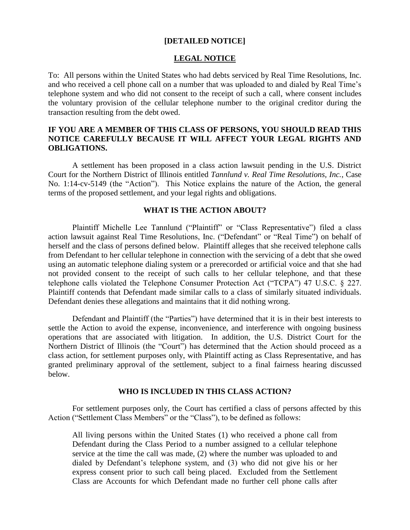#### **[DETAILED NOTICE]**

#### **LEGAL NOTICE**

To: All persons within the United States who had debts serviced by Real Time Resolutions, Inc. and who received a cell phone call on a number that was uploaded to and dialed by Real Time's telephone system and who did not consent to the receipt of such a call, where consent includes the voluntary provision of the cellular telephone number to the original creditor during the transaction resulting from the debt owed.

## **IF YOU ARE A MEMBER OF THIS CLASS OF PERSONS, YOU SHOULD READ THIS NOTICE CAREFULLY BECAUSE IT WILL AFFECT YOUR LEGAL RIGHTS AND OBLIGATIONS.**

A settlement has been proposed in a class action lawsuit pending in the U.S. District Court for the Northern District of Illinois entitled *Tannlund v. Real Time Resolutions, Inc.*, Case No. 1:14-cv-5149 (the "Action"). This Notice explains the nature of the Action, the general terms of the proposed settlement, and your legal rights and obligations.

#### **WHAT IS THE ACTION ABOUT?**

Plaintiff Michelle Lee Tannlund ("Plaintiff" or "Class Representative") filed a class action lawsuit against Real Time Resolutions, Inc. ("Defendant" or "Real Time") on behalf of herself and the class of persons defined below. Plaintiff alleges that she received telephone calls from Defendant to her cellular telephone in connection with the servicing of a debt that she owed using an automatic telephone dialing system or a prerecorded or artificial voice and that she had not provided consent to the receipt of such calls to her cellular telephone, and that these telephone calls violated the Telephone Consumer Protection Act ("TCPA") 47 U.S.C. § 227. Plaintiff contends that Defendant made similar calls to a class of similarly situated individuals. Defendant denies these allegations and maintains that it did nothing wrong.

Defendant and Plaintiff (the "Parties") have determined that it is in their best interests to settle the Action to avoid the expense, inconvenience, and interference with ongoing business operations that are associated with litigation. In addition, the U.S. District Court for the Northern District of Illinois (the "Court") has determined that the Action should proceed as a class action, for settlement purposes only, with Plaintiff acting as Class Representative, and has granted preliminary approval of the settlement, subject to a final fairness hearing discussed below.

## **WHO IS INCLUDED IN THIS CLASS ACTION?**

For settlement purposes only, the Court has certified a class of persons affected by this Action ("Settlement Class Members" or the "Class"), to be defined as follows:

All living persons within the United States (1) who received a phone call from Defendant during the Class Period to a number assigned to a cellular telephone service at the time the call was made, (2) where the number was uploaded to and dialed by Defendant's telephone system, and (3) who did not give his or her express consent prior to such call being placed. Excluded from the Settlement Class are Accounts for which Defendant made no further cell phone calls after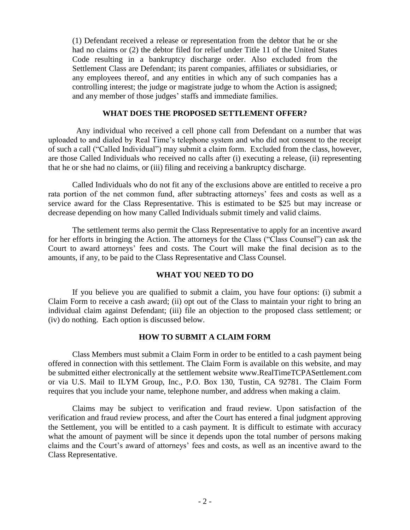(1) Defendant received a release or representation from the debtor that he or she had no claims or (2) the debtor filed for relief under Title 11 of the United States Code resulting in a bankruptcy discharge order. Also excluded from the Settlement Class are Defendant; its parent companies, affiliates or subsidiaries, or any employees thereof, and any entities in which any of such companies has a controlling interest; the judge or magistrate judge to whom the Action is assigned; and any member of those judges' staffs and immediate families.

#### **WHAT DOES THE PROPOSED SETTLEMENT OFFER?**

 Any individual who received a cell phone call from Defendant on a number that was uploaded to and dialed by Real Time's telephone system and who did not consent to the receipt of such a call ("Called Individual") may submit a claim form. Excluded from the class, however, are those Called Individuals who received no calls after (i) executing a release, (ii) representing that he or she had no claims, or (iii) filing and receiving a bankruptcy discharge.

Called Individuals who do not fit any of the exclusions above are entitled to receive a pro rata portion of the net common fund, after subtracting attorneys' fees and costs as well as a service award for the Class Representative. This is estimated to be \$25 but may increase or decrease depending on how many Called Individuals submit timely and valid claims.

The settlement terms also permit the Class Representative to apply for an incentive award for her efforts in bringing the Action. The attorneys for the Class ("Class Counsel") can ask the Court to award attorneys' fees and costs. The Court will make the final decision as to the amounts, if any, to be paid to the Class Representative and Class Counsel.

## **WHAT YOU NEED TO DO**

If you believe you are qualified to submit a claim, you have four options: (i) submit a Claim Form to receive a cash award; (ii) opt out of the Class to maintain your right to bring an individual claim against Defendant; (iii) file an objection to the proposed class settlement; or (iv) do nothing. Each option is discussed below.

## **HOW TO SUBMIT A CLAIM FORM**

Class Members must submit a Claim Form in order to be entitled to a cash payment being offered in connection with this settlement. The Claim Form is available on this website, and may be submitted either electronically at the settlement website www.RealTimeTCPASettlement.com or via U.S. Mail to ILYM Group, Inc., P.O. Box 130, Tustin, CA 92781. The Claim Form requires that you include your name, telephone number, and address when making a claim.

Claims may be subject to verification and fraud review. Upon satisfaction of the verification and fraud review process, and after the Court has entered a final judgment approving the Settlement, you will be entitled to a cash payment. It is difficult to estimate with accuracy what the amount of payment will be since it depends upon the total number of persons making claims and the Court's award of attorneys' fees and costs, as well as an incentive award to the Class Representative.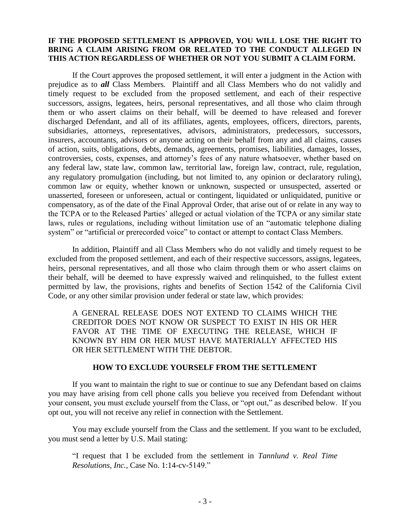## **IF THE PROPOSED SETTLEMENT IS APPROVED, YOU WILL LOSE THE RIGHT TO BRING A CLAIM ARISING FROM OR RELATED TO THE CONDUCT ALLEGED IN THIS ACTION REGARDLESS OF WHETHER OR NOT YOU SUBMIT A CLAIM FORM.**

If the Court approves the proposed settlement, it will enter a judgment in the Action with prejudice as to *all* Class Members. Plaintiff and all Class Members who do not validly and timely request to be excluded from the proposed settlement, and each of their respective successors, assigns, legatees, heirs, personal representatives, and all those who claim through them or who assert claims on their behalf, will be deemed to have released and forever discharged Defendant, and all of its affiliates, agents, employees, officers, directors, parents, subsidiaries, attorneys, representatives, advisors, administrators, predecessors, successors, insurers, accountants, advisors or anyone acting on their behalf from any and all claims, causes of action, suits, obligations, debts, demands, agreements, promises, liabilities, damages, losses, controversies, costs, expenses, and attorney's fees of any nature whatsoever, whether based on any federal law, state law, common law, territorial law, foreign law, contract, rule, regulation, any regulatory promulgation (including, but not limited to, any opinion or declaratory ruling), common law or equity, whether known or unknown, suspected or unsuspected, asserted or unasserted, foreseen or unforeseen, actual or contingent, liquidated or unliquidated, punitive or compensatory, as of the date of the Final Approval Order, that arise out of or relate in any way to the TCPA or to the Released Parties' alleged or actual violation of the TCPA or any similar state laws, rules or regulations, including without limitation use of an "automatic telephone dialing system" or "artificial or prerecorded voice" to contact or attempt to contact Class Members.

In addition, Plaintiff and all Class Members who do not validly and timely request to be excluded from the proposed settlement, and each of their respective successors, assigns, legatees, heirs, personal representatives, and all those who claim through them or who assert claims on their behalf, will be deemed to have expressly waived and relinquished, to the fullest extent permitted by law, the provisions, rights and benefits of Section 1542 of the California Civil Code, or any other similar provision under federal or state law, which provides:

A GENERAL RELEASE DOES NOT EXTEND TO CLAIMS WHICH THE CREDITOR DOES NOT KNOW OR SUSPECT TO EXIST IN HIS OR HER FAVOR AT THE TIME OF EXECUTING THE RELEASE, WHICH IF KNOWN BY HIM OR HER MUST HAVE MATERIALLY AFFECTED HIS OR HER SETTLEMENT WITH THE DEBTOR.

## **HOW TO EXCLUDE YOURSELF FROM THE SETTLEMENT**

If you want to maintain the right to sue or continue to sue any Defendant based on claims you may have arising from cell phone calls you believe you received from Defendant without your consent, you must exclude yourself from the Class, or "opt out," as described below. If you opt out, you will not receive any relief in connection with the Settlement.

You may exclude yourself from the Class and the settlement. If you want to be excluded, you must send a letter by U.S. Mail stating:

"I request that I be excluded from the settlement in *Tannlund v. Real Time Resolutions, Inc.*, Case No. 1:14-cv-5149."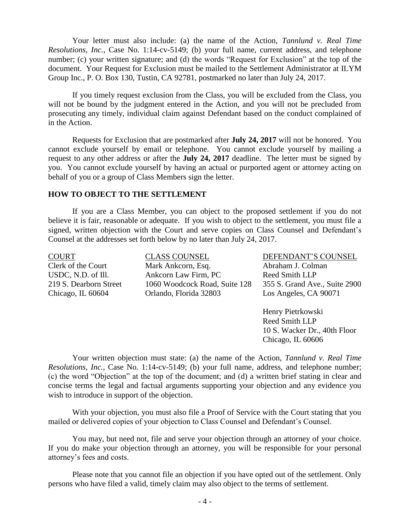Your letter must also include: (a) the name of the Action, *Tannlund v. Real Time Resolutions, Inc.*, Case No. 1:14-cv-5149; (b) your full name, current address, and telephone number; (c) your written signature; and (d) the words "Request for Exclusion" at the top of the document. Your Request for Exclusion must be mailed to the Settlement Administrator at ILYM Group Inc., P. O. Box 130, Tustin, CA 92781, postmarked no later than July 24, 2017.

If you timely request exclusion from the Class, you will be excluded from the Class, you will not be bound by the judgment entered in the Action, and you will not be precluded from prosecuting any timely, individual claim against Defendant based on the conduct complained of in the Action.

Requests for Exclusion that are postmarked after **July 24, 2017** will not be honored. You cannot exclude yourself by email or telephone. You cannot exclude yourself by mailing a request to any other address or after the **July 24, 2017** deadline. The letter must be signed by you. You cannot exclude yourself by having an actual or purported agent or attorney acting on behalf of you or a group of Class Members sign the letter.

#### **HOW TO OBJECT TO THE SETTLEMENT**

If you are a Class Member, you can object to the proposed settlement if you do not believe it is fair, reasonable or adequate. If you wish to object to the settlement, you must file a signed, written objection with the Court and serve copies on Class Counsel and Defendant's Counsel at the addresses set forth below by no later than July 24, 2017.

| COURT                  | <b>CLASS COUNSEL</b>          | DEFENDANT'S COUNSEL           |
|------------------------|-------------------------------|-------------------------------|
| Clerk of the Court     | Mark Ankcorn, Esq.            | Abraham J. Colman             |
| USDC, N.D. of Ill.     | Ankcorn Law Firm, PC          | Reed Smith LLP                |
| 219 S. Dearborn Street | 1060 Woodcock Road, Suite 128 | 355 S. Grand Ave., Suite 2900 |
| Chicago, IL 60604      | Orlando, Florida 32803        | Los Angeles, CA 90071         |
|                        |                               |                               |

Henry Pietrkowski Reed Smith LLP 10 S. Wacker Dr., 40th Floor Chicago, IL 60606

Your written objection must state: (a) the name of the Action, *Tannlund v. Real Time Resolutions, Inc.*, Case No. 1:14-cv-5149; (b) your full name, address, and telephone number; (c) the word "Objection" at the top of the document; and (d) a written brief stating in clear and concise terms the legal and factual arguments supporting your objection and any evidence you wish to introduce in support of the objection.

With your objection, you must also file a Proof of Service with the Court stating that you mailed or delivered copies of your objection to Class Counsel and Defendant's Counsel.

You may, but need not, file and serve your objection through an attorney of your choice. If you do make your objection through an attorney, you will be responsible for your personal attorney's fees and costs.

Please note that you cannot file an objection if you have opted out of the settlement. Only persons who have filed a valid, timely claim may also object to the terms of settlement.